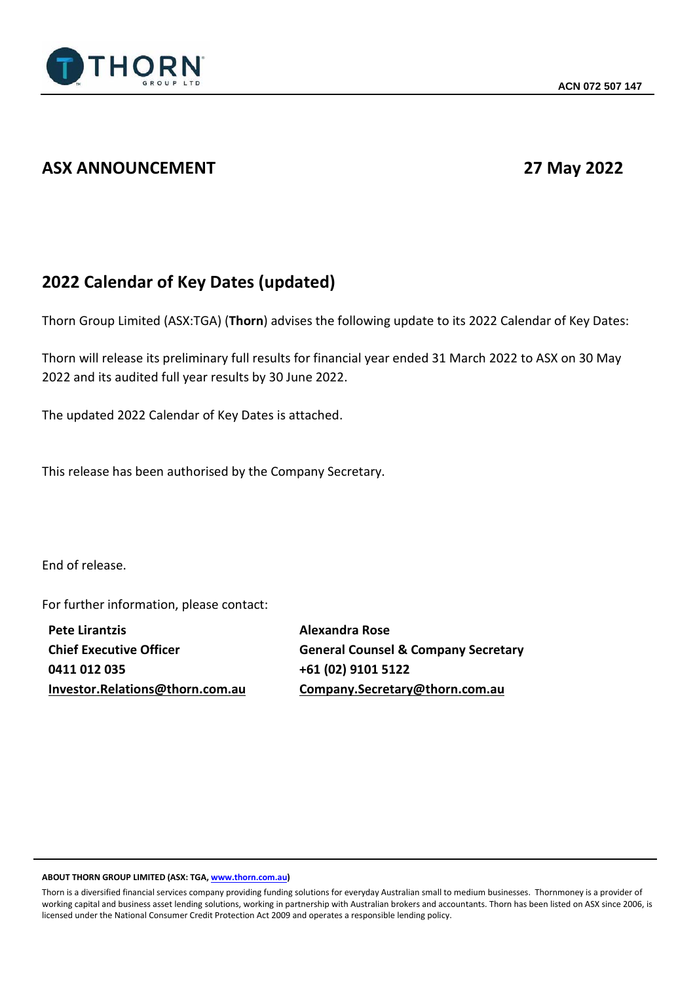

## **ASX ANNOUNCEMENT 27 May 2022**

## **2022 Calendar of Key Dates (updated)**

Thorn Group Limited (ASX:TGA) (**Thorn**) advises the following update to its 2022 Calendar of Key Dates:

Thorn will release its preliminary full results for financial year ended 31 March 2022 to ASX on 30 May 2022 and its audited full year results by 30 June 2022.

The updated 2022 Calendar of Key Dates is attached.

This release has been authorised by the Company Secretary.

End of release.

For further information, please contact:

**Pete Lirantzis Chief Executive Officer 0411 012 035 [Investor.Relations@thorn.com.au](mailto:Investor.Relations@thorn.com.au)** **Alexandra Rose General Counsel & Company Secretary +61 (02) 9101 5122 [Company.Secretary@thorn.com.au](mailto:Company.Secretary@thorn.com.au)**

## **ABOUT THORN GROUP LIMITED (ASX: TGA, www.thorn.com.au)**

Thorn is a diversified financial services company providing funding solutions for everyday Australian small to medium businesses. Thornmoney is a provider of working capital and business asset lending solutions, working in partnership with Australian brokers and accountants. Thorn has been listed on ASX since 2006, is licensed under the National Consumer Credit Protection Act 2009 and operates a responsible lending policy.